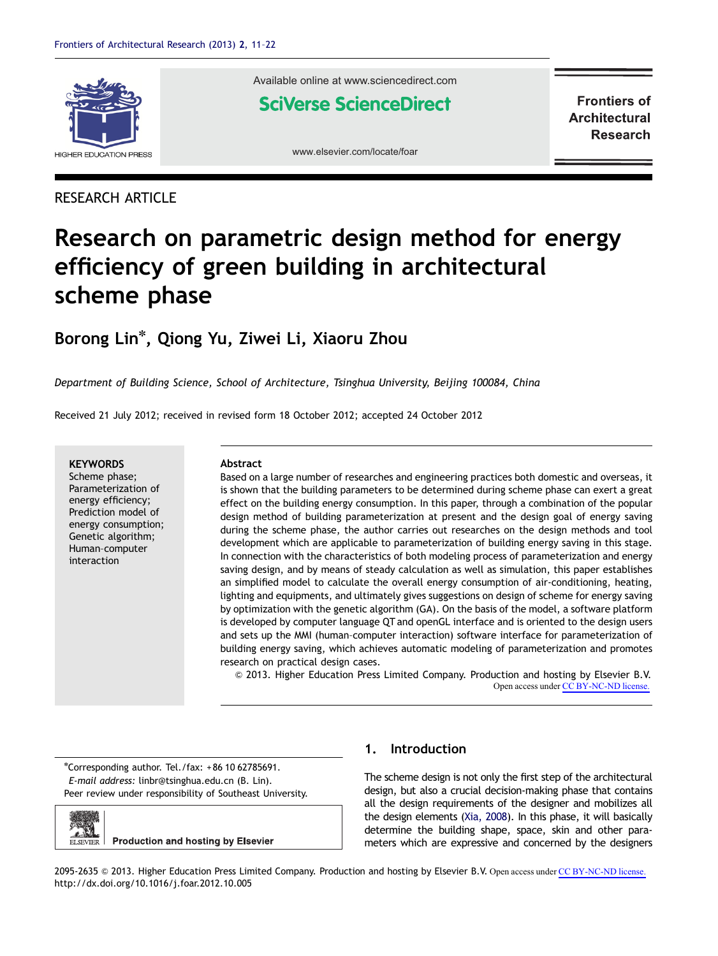

Available online at www.sciencedirect.com

**SciVerse ScienceDirect** 

**Frontiers of Architectural Research** 

www.elsevier.com/locate/foar

### RESEARCH ARTICLE

# Research on parametric design method for energy efficiency of green building in architectural scheme phase

### Borong Lin<sup>\*</sup>, Qiong Yu, Ziwei Li, Xiaoru Zhou

Department of Building Science, School of Architecture, Tsinghua University, Beijing 100084, China

Received 21 July 2012; received in revised form 18 October 2012; accepted 24 October 2012

#### **KEYWORDS**

Scheme phase; Parameterization of energy efficiency; Prediction model of energy consumption; Genetic algorithm; Human–computer interaction

#### Abstract

Based on a large number of researches and engineering practices both domestic and overseas, it is shown that the building parameters to be determined during scheme phase can exert a great effect on the building energy consumption. In this paper, through a combination of the popular design method of building parameterization at present and the design goal of energy saving during the scheme phase, the author carries out researches on the design methods and tool development which are applicable to parameterization of building energy saving in this stage. In connection with the characteristics of both modeling process of parameterization and energy saving design, and by means of steady calculation as well as simulation, this paper establishes an simplified model to calculate the overall energy consumption of air-conditioning, heating, lighting and equipments, and ultimately gives suggestions on design of scheme for energy saving by optimization with the genetic algorithm (GA). On the basis of the model, a software platform is developed by computer language QT and openGL interface and is oriented to the design users and sets up the MMI (human–computer interaction) software interface for parameterization of building energy saving, which achieves automatic modeling of parameterization and promotes research on practical design cases.

& 2013. Higher Education Press Limited Company. Production and hosting by Elsevier B.V. Open access under [CC BY-NC-ND license.](http://creativecommons.org/licenses/by-nc-nd/4.0/)

n Corresponding author. Tel./fax: +86 10 62785691. E-mail address: [linbr@tsinghua.edu.cn \(B. Lin\)](mailto:linbr@tsinghua.edu.cn). Peer review under responsibility of Southeast University.



### 1. Introduction

The scheme design is not only the first step of the architectural design, but also a crucial decision-making phase that contains all the design requirements of the designer and mobilizes all the design elements ([Xia, 2008\)](#page--1-0). In this phase, it will basically determine the building shape, space, skin and other parameters which are expressive and concerned by the designers

2095-2635 @ 2013. Higher Education Press Limited Company. Production and hosting by Elsevier B.V. Open access under [CC BY-NC-ND license.](http://creativecommons.org/licenses/by-nc-nd/4.0/) [http://dx.doi.org/10.1016/j.foar.2012.10.005](dx.doi.org/10.1016/j.foar.2012.10.005)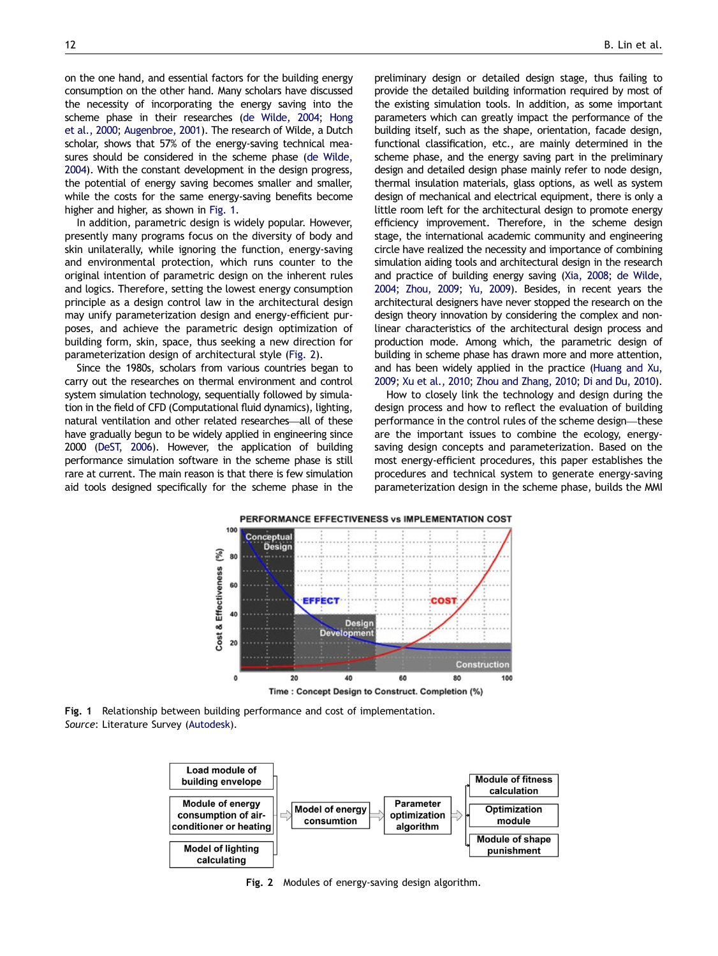on the one hand, and essential factors for the building energy consumption on the other hand. Many scholars have discussed the necessity of incorporating the energy saving into the scheme phase in their researches ([de Wilde, 2004;](#page--1-0) [Hong](#page--1-0) [et al., 2000](#page--1-0); [Augenbroe, 2001\)](#page--1-0). The research of Wilde, a Dutch scholar, shows that 57% of the energy-saving technical measures should be considered in the scheme phase ([de Wilde,](#page--1-0) [2004\)](#page--1-0). With the constant development in the design progress, the potential of energy saving becomes smaller and smaller, while the costs for the same energy-saving benefits become higher and higher, as shown in Fig. 1.

In addition, parametric design is widely popular. However, presently many programs focus on the diversity of body and skin unilaterally, while ignoring the function, energy-saving and environmental protection, which runs counter to the original intention of parametric design on the inherent rules and logics. Therefore, setting the lowest energy consumption principle as a design control law in the architectural design may unify parameterization design and energy-efficient purposes, and achieve the parametric design optimization of building form, skin, space, thus seeking a new direction for parameterization design of architectural style (Fig. 2).

Since the 1980s, scholars from various countries began to carry out the researches on thermal environment and control system simulation technology, sequentially followed by simulation in the field of CFD (Computational fluid dynamics), lighting, natural ventilation and other related researches—all of these have gradually begun to be widely applied in engineering since 2000 [\(DeST, 2006](#page--1-0)). However, the application of building performance simulation software in the scheme phase is still rare at current. The main reason is that there is few simulation aid tools designed specifically for the scheme phase in the

preliminary design or detailed design stage, thus failing to provide the detailed building information required by most of the existing simulation tools. In addition, as some important parameters which can greatly impact the performance of the building itself, such as the shape, orientation, facade design, functional classification, etc., are mainly determined in the scheme phase, and the energy saving part in the preliminary design and detailed design phase mainly refer to node design, thermal insulation materials, glass options, as well as system design of mechanical and electrical equipment, there is only a little room left for the architectural design to promote energy efficiency improvement. Therefore, in the scheme design stage, the international academic community and engineering circle have realized the necessity and importance of combining simulation aiding tools and architectural design in the research and practice of building energy saving ([Xia, 2008;](#page--1-0) [de Wilde,](#page--1-0) [2004](#page--1-0); [Zhou, 2009;](#page--1-0) [Yu, 2009\)](#page--1-0). Besides, in recent years the architectural designers have never stopped the research on the design theory innovation by considering the complex and nonlinear characteristics of the architectural design process and production mode. Among which, the parametric design of building in scheme phase has drawn more and more attention, and has been widely applied in the practice [\(Huang and Xu,](#page--1-0) [2009](#page--1-0); [Xu et al., 2010;](#page--1-0) [Zhou and Zhang, 2010](#page--1-0); [Di and Du, 2010\)](#page--1-0).

How to closely link the technology and design during the design process and how to reflect the evaluation of building performance in the control rules of the scheme design—these are the important issues to combine the ecology, energysaving design concepts and parameterization. Based on the most energy-efficient procedures, this paper establishes the procedures and technical system to generate energy-saving parameterization design in the scheme phase, builds the MMI



Fig. 1 Relationship between building performance and cost of implementation. Source: Literature Survey ([Autodesk\)](#page--1-0).



Fig. 2 Modules of energy-saving design algorithm.